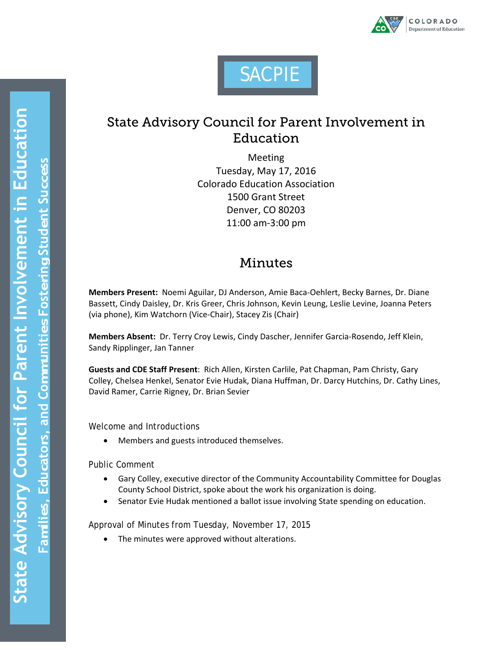

# **SACPIE**

## State Advisory Council for Parent Involvement in Education

Meeting Tuesday, May 17, 2016 Colorado Education Association 1500 Grant Street Denver, CO 80203 11:00 am-3:00 pm

## Minutes

**Members Present:** Noemi Aguilar, DJ Anderson, Amie Baca-Oehlert, Becky Barnes, Dr. Diane Bassett, Cindy Daisley, Dr. Kris Greer, Chris Johnson, Kevin Leung, Leslie Levine, Joanna Peters (via phone), Kim Watchorn (Vice-Chair), Stacey Zis (Chair)

**Members Absent:** Dr. Terry Croy Lewis, Cindy Dascher, Jennifer Garcia-Rosendo, Jeff Klein, Sandy Ripplinger, Jan Tanner

**Guests and CDE Staff Present**: Rich Allen, Kirsten Carlile, Pat Chapman, Pam Christy, Gary Colley, Chelsea Henkel, Senator Evie Hudak, Diana Huffman, Dr. Darcy Hutchins, Dr. Cathy Lines, David Ramer, Carrie Rigney, Dr. Brian Sevier

Welcome and Introductions

• Members and guests introduced themselves.

Public Comment

- Gary Colley, executive director of the Community Accountability Committee for Douglas County School District, spoke about the work his organization is doing.
- Senator Evie Hudak mentioned a ballot issue involving State spending on education.

Approval of Minutes from Tuesday, November 17, 2015

The minutes were approved without alterations.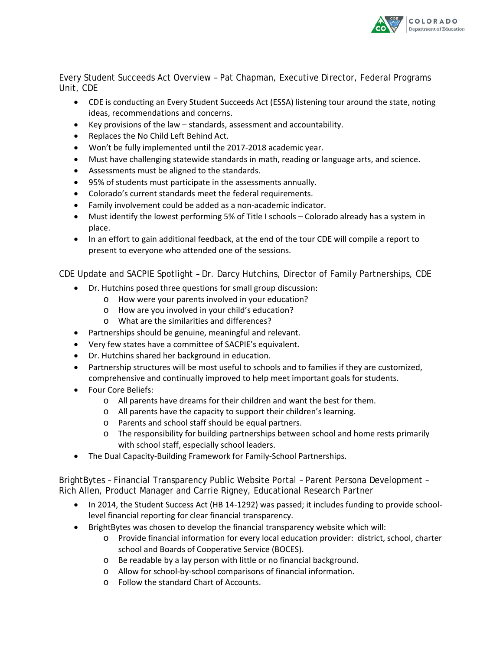

Every Student Succeeds Act Overview – Pat Chapman, Executive Director, Federal Programs Unit, CDE

- CDE is conducting an Every Student Succeeds Act (ESSA) listening tour around the state, noting ideas, recommendations and concerns.
- Key provisions of the law standards, assessment and accountability.
- Replaces the No Child Left Behind Act.
- Won't be fully implemented until the 2017-2018 academic year.
- Must have challenging statewide standards in math, reading or language arts, and science.
- Assessments must be aligned to the standards.
- 95% of students must participate in the assessments annually.
- Colorado's current standards meet the federal requirements.
- Family involvement could be added as a non-academic indicator.
- Must identify the lowest performing 5% of Title I schools Colorado already has a system in place.
- In an effort to gain additional feedback, at the end of the tour CDE will compile a report to present to everyone who attended one of the sessions.

CDE Update and SACPIE Spotlight – Dr. Darcy Hutchins, Director of Family Partnerships, CDE

- Dr. Hutchins posed three questions for small group discussion:
	- o How were your parents involved in your education?
	- o How are you involved in your child's education?
	- o What are the similarities and differences?
- Partnerships should be genuine, meaningful and relevant.
- Very few states have a committee of SACPIE's equivalent.
- Dr. Hutchins shared her background in education.
- Partnership structures will be most useful to schools and to families if they are customized, comprehensive and continually improved to help meet important goals for students.
- Four Core Beliefs:
	- o All parents have dreams for their children and want the best for them.
	- o All parents have the capacity to support their children's learning.
	- o Parents and school staff should be equal partners.
	- o The responsibility for building partnerships between school and home rests primarily with school staff, especially school leaders.
- The Dual Capacity-Building Framework for Family-School Partnerships.

BrightBytes – Financial Transparency Public Website Portal – Parent Persona Development – Rich Allen, Product Manager and Carrie Rigney, Educational Research Partner

- In 2014, the Student Success Act (HB 14-1292) was passed; it includes funding to provide schoollevel financial reporting for clear financial transparency.
- BrightBytes was chosen to develop the financial transparency website which will:
	- o Provide financial information for every local education provider: district, school, charter school and Boards of Cooperative Service (BOCES).
	- o Be readable by a lay person with little or no financial background.
	- o Allow for school-by-school comparisons of financial information.
	- o Follow the standard Chart of Accounts.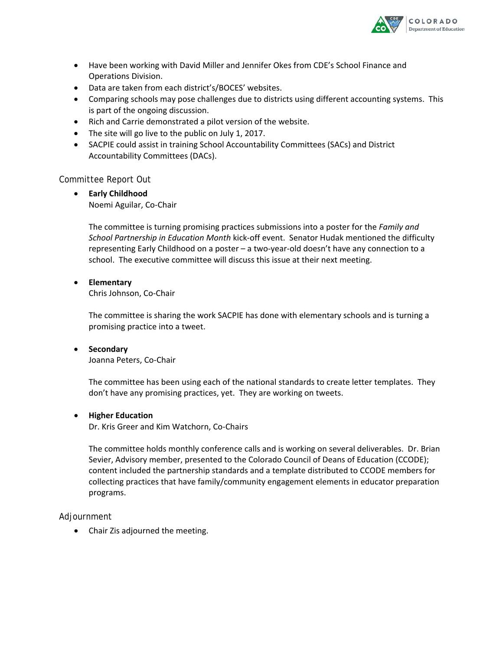

- Have been working with David Miller and Jennifer Okes from CDE's School Finance and Operations Division.
- Data are taken from each district's/BOCES' websites.
- Comparing schools may pose challenges due to districts using different accounting systems. This is part of the ongoing discussion.
- Rich and Carrie demonstrated a pilot version of the website.
- The site will go live to the public on July 1, 2017.
- SACPIE could assist in training School Accountability Committees (SACs) and District Accountability Committees (DACs).

#### Committee Report Out

• **Early Childhood** Noemi Aguilar, Co-Chair

> The committee is turning promising practices submissions into a poster for the *Family and School Partnership in Education Month* kick-off event. Senator Hudak mentioned the difficulty representing Early Childhood on a poster – a two-year-old doesn't have any connection to a school. The executive committee will discuss this issue at their next meeting.

#### • **Elementary**

Chris Johnson, Co-Chair

The committee is sharing the work SACPIE has done with elementary schools and is turning a promising practice into a tweet.

#### • **Secondary**

Joanna Peters, Co-Chair

The committee has been using each of the national standards to create letter templates. They don't have any promising practices, yet. They are working on tweets.

#### • **Higher Education**

Dr. Kris Greer and Kim Watchorn, Co-Chairs

The committee holds monthly conference calls and is working on several deliverables. Dr. Brian Sevier, Advisory member, presented to the Colorado Council of Deans of Education (CCODE); content included the partnership standards and a template distributed to CCODE members for collecting practices that have family/community engagement elements in educator preparation programs.

#### Adjournment

• Chair Zis adjourned the meeting.